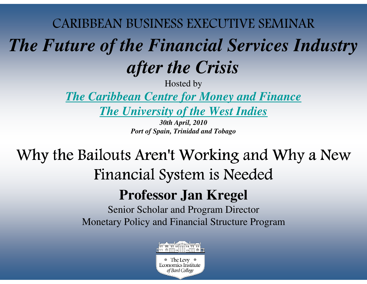### CARIBBEAN BUSINESS EXECUTIVE SEMINAR *The Future of the Financial Services Industry after the Crisis*

Hosted by

*The Caribbean Centre for Money and Finance*

*The University of the West Indies*

*30th April, 2010 Port of Spain, Trinidad and Tobago*

#### Why the Bailouts Aren't Working and Why a New Financial System is Needed

#### **Professor Jan Kregel**

Senior Scholar and Program Director Monetary Policy and Financial Structure Program



 $\bullet$  The Levy  $\bullet$ Economics Institute of Bard College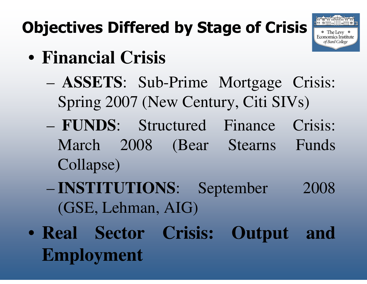## Objectives Differed by Stage of Crisis



- **Financial Crisis**
	- **ASSETS**: Sub-Prime Mortgage Crisis: Spring 2007 (New Century, Citi SIVs)
	- **FUNDS**: Structured Finance Crisis: March 2008 (Bear Stearns Funds Collapse)
	- **INSTITUTIONS**: September 2008 (GSE, Lehman, AIG)
- **Real Sector Crisis: Output and Employment**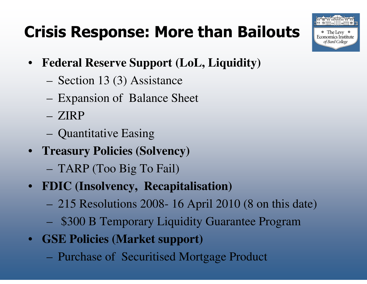### Crisis Response: More than Bailouts



- **Federal Reserve Support (LoL, Liquidity)**
	- Section 13 (3) Assistance
	- Expansion of Balance Sheet
	- ZIRP
	- Quantitative Easing
- **Treasury Policies (Solvency)**
	- TARP (Too Big To Fail)
- **FDIC (Insolvency, Recapitalisation)**
	- 215 Resolutions 2008- 16 April 2010 (8 on this date)
	- \$300 <sup>B</sup> Temporary Liquidity Guarantee Program
- **GSE Policies (Market support)**
	- Purchase of Securitised Mortgage Product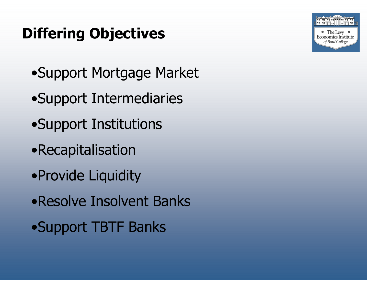#### Differing Objectives



- •Support Mortgage Market
- •Support Intermediaries
- •Support Institutions
- •Recapitalisation
- •Provide Liquidity
- •Resolve Insolvent Banks
- •Support TBTF Banks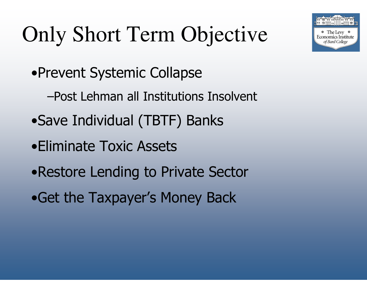# Only Short Term Objective



–Post Lehman all Institutions Insolvent

- •Save Individual (TBTF) Banks
- •Eliminate Toxic Assets
- •Restore Lending to Private Sector
- •Get the Taxpayer's Money Back

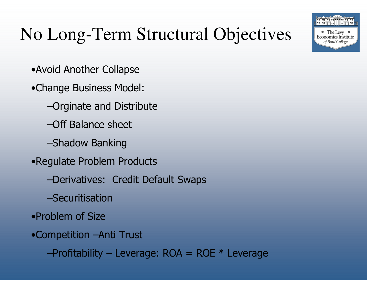

## No Long-Term Structural Objectives

- •Avoid Another Collapse
- •Change Business Model:
	- –Orginate and Distribute
	- –Off Balance sheet
	- –Shadow Banking
- •Regulate Problem Products
	- –Derivatives: Credit Default Swaps
	- –Securitisation
- •Problem of Size
- •Competition –Anti Trust
	- $-$ Profitability Leverage: ROA = ROE  $*$  Leverage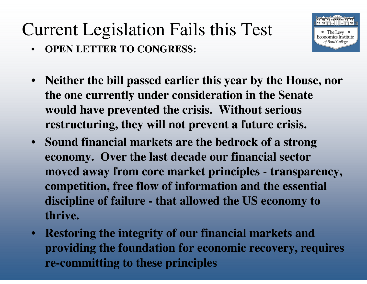# Current Legislation Fails this Test

• **OPEN LETTER TO CONGRESS:**



- **Neither the bill passed earlier this year by the House, nor the one currently under consideration in the Senate would have prevented the crisis. Without serious restructuring, they will not prevent a future crisis.**
- **Sound financial markets are the bedrock of a strong economy. Over the last decade our financial sector moved away from core market principles - transparency, competition, free flow of information and the essential discipline of failure - that allowed the US economy to thrive.**
- **Restoring the integrity of our financial markets and providing the foundation for economic recovery, requires re-committing to these principles**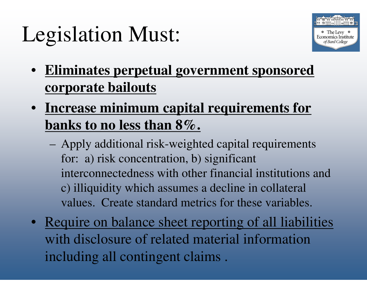# Legislation Must:



- **Eliminates perpetual government sponsored corporate bailouts**
- **Increase minimum capital requirements for banks to no less than 8%.**
	- Apply additional risk -weighted capital requirements for: a) risk concentration, b) significant interconnectedness with other financial institutions and c) illiquidity which assumes a decline in collateral values. Create standard metrics for these variables.
- Require on balance sheet reporting of all liabilities with disclosure of related material information including all contingent claims .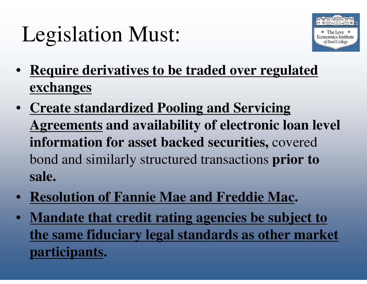# Legislation Must:



- **Require derivatives to be traded over regulated exchanges**
- **Create standardized Pooling and Servicing Agreements and availability of electronic loan level information for asset backed securities,** covered bond and similarly structured transactions **prior to sale.**
- **Resolution of Fannie Mae and Freddie Mac .**
- **Mandate that credit rating agencies be subject to the same fiduciary legal standards as other market participants .**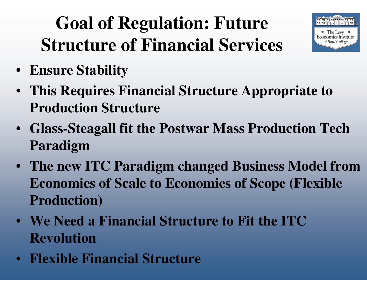## **Goal of Regulation: Future Structure of Financial Services**



- **Ensure Stability**
- **This Requires Financial Structure Appropriate to Production Structure**
- **Glass-Steagall fit the Postwar Mass Production Tech Paradigm**
- **The new ITC Paradigm changed Business Model from Economies of Scale to Economies of Scope (Flexible Production)**
- **We Need a Financial Structure to Fit the ITC Revolution**
- **Flexible Financial Structure**